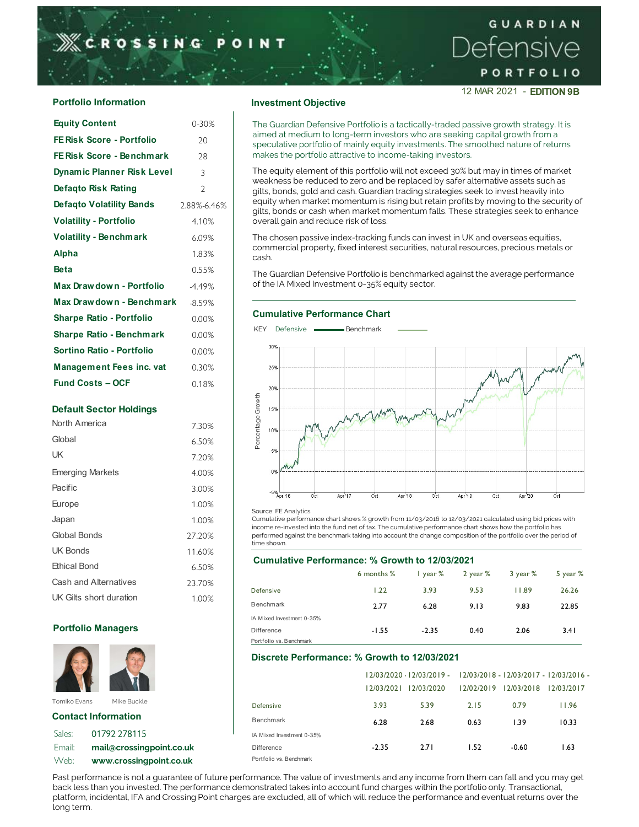12 MAR 2021 - EDITION 9B

| $0 - 30%$                | The Guardian Defensive Portfolio is a tactically-traded passive gr                                                                             |  |  |  |  |  |  |  |  |  |  |
|--------------------------|------------------------------------------------------------------------------------------------------------------------------------------------|--|--|--|--|--|--|--|--|--|--|
| 20                       | aimed at medium to long-term investors who are seeking capital<br>speculative portfolio of mainly equity investments. The smoothee             |  |  |  |  |  |  |  |  |  |  |
| 28                       | makes the portfolio attractive to income-taking investors.                                                                                     |  |  |  |  |  |  |  |  |  |  |
| 3                        | The equity element of this portfolio will not exceed 30% but may                                                                               |  |  |  |  |  |  |  |  |  |  |
| $\overline{\phantom{a}}$ | weakness be reduced to zero and be replaced by safer alternativ<br>gilts, bonds, gold and cash. Guardian trading strategies seek to in         |  |  |  |  |  |  |  |  |  |  |
| 2.88%-6.46%              | equity when market momentum is rising but retain profits by mot<br>gilts, bonds or cash when market momentum falls. These strateg              |  |  |  |  |  |  |  |  |  |  |
| 4.10%                    | overall gain and reduce risk of loss.<br>The chosen passive index-tracking funds can invest in UK and ov                                       |  |  |  |  |  |  |  |  |  |  |
| 6.09%                    |                                                                                                                                                |  |  |  |  |  |  |  |  |  |  |
| 1.83%                    | commercial property, fixed interest securities, natural resources,<br>cash.<br>The Guardian Defensive Portfolio is benchmarked against the ave |  |  |  |  |  |  |  |  |  |  |
| 0.55%                    |                                                                                                                                                |  |  |  |  |  |  |  |  |  |  |
| $-4.49%$                 | of the IA Mixed Investment 0-35% equity sector.                                                                                                |  |  |  |  |  |  |  |  |  |  |
| $-8.59%$                 |                                                                                                                                                |  |  |  |  |  |  |  |  |  |  |
| 0.00%                    | <b>Cumulative Performance Chart</b>                                                                                                            |  |  |  |  |  |  |  |  |  |  |
| 0.00%                    | Defensive <b>Internal Benchmark</b><br><b>KEY</b>                                                                                              |  |  |  |  |  |  |  |  |  |  |
| 0.00%                    | 30%                                                                                                                                            |  |  |  |  |  |  |  |  |  |  |
| 0.30%                    | 25%                                                                                                                                            |  |  |  |  |  |  |  |  |  |  |
| 0.18%                    | 20%                                                                                                                                            |  |  |  |  |  |  |  |  |  |  |
|                          | Max Drawdown - Benchmark                                                                                                                       |  |  |  |  |  |  |  |  |  |  |

| <b>Default Sector Holdings</b> |        | Percentage Growth<br>15%                                                                                                                    |
|--------------------------------|--------|---------------------------------------------------------------------------------------------------------------------------------------------|
| North America                  | 7.30%  | 10%                                                                                                                                         |
| Global                         | 6.50%  |                                                                                                                                             |
| <b>UK</b>                      | 7.20%  | 5%                                                                                                                                          |
| <b>Emerging Markets</b>        | 4.00%  | 0%                                                                                                                                          |
| Pacific                        | 3.00%  | $-5\%$ Apr 16<br>Oct<br>Apr <sup>1</sup> 17<br>Apr 18                                                                                       |
| Europe                         | 1.00%  | <b>Oct</b><br><b>Oct</b>                                                                                                                    |
| Japan                          | 1.00%  | Source: FE Analytics.<br>Cumulative performance chart shows % growth from 11/03/2016 to 12                                                  |
| Global Bonds                   | 27.20% | income re-invested into the fund net of tax. The cumulative performar<br>performed against the benchmark taking into account the change con |
| UK Bonds                       | 11.60% | time shown.                                                                                                                                 |
| <b>Ethical Bond</b>            | 6.50%  | Cumulative Performance: % Growth to 12/03/                                                                                                  |
| <b>Cash and Alternatives</b>   | 23.70% | 6 months %<br>I year %                                                                                                                      |
| UK Gilts short duration        | 1.00%  | Defensive<br>1.22<br>3.93<br><b>Benchmark</b>                                                                                               |
|                                |        | 7.77<br>6.78                                                                                                                                |

### Portfolio Managers



## Contact Information

| Sales: | 01792 278115             | IA Mixed Investment 0-3 |
|--------|--------------------------|-------------------------|
| Email: | mail@crossingpoint.co.uk | Difference              |
| Web:   | www.crossingpoint.co.uk  | Portfolio vs. Benchmark |

The Guardian Defensive Portfolio is a tactically-traded passive growth strategy. It is 0-30% aimed at medium to long-term investors who are seeking capital growth from a **FE Risk Score - Portfolio** 20 Speculative portfolio of mainly equity investments. The smoothed nature of returns and the strategy of the smoothed nature of returns **FE Risk Score - Benchmark** 28 28 and the portfolio attractive to income-taking investors. GUAF<br>
CROSSING POINT<br>
PORTI<br>
PORTI<br>
PORTI<br>
PORTI<br>
PORTI<br>
PORTI<br>
PORTI<br>
PORTI<br>
PORTI<br>
PORTI<br>
PORTI<br>
PORTI<br>
PORTI<br>
PORTI<br>
PORTI<br>
PORTI<br>
PORTI<br>
PORTI<br>
PORTI<br>
PORTI<br>
TERISK Score - Portfolio 20<br>
Since of the Guardian Defensive

 $\frac{1}{3}$  The equity element of this portfolio will not exceed 30% but may in times of market weakness be reduced to zero and be replaced by safer alternative assets such as **Defaqto Risk Rating**  $\begin{array}{c} 2 \\ 2 \end{array}$  gilts, bonds, gold and cash. Guardian trading strategies seek to invest heavily into **Defaqto Volatility Bands**  $\begin{bmatrix} 2.88\% - 6.46\% \end{bmatrix}$  equity when market momentum is rising but retain profits by moving to the security of gilts, bonds or cash when market momentum falls. These strategies seek to enhance 2.88%-6.46% **Volatility - Portfolio** 4.10% overall gain and reduce risk of loss.

 $\textsf{Volatility -}\textsf{Benchmark} \qquad \qquad 6.09\% \qquad \textcolor{black}{\big|} \qquad \text{The chosen passive index-tracking funds can invest in UK and overseas equities,}$ commercial property, fixed interest securities, natural resources, precious metals or Alpha 1.83% cash.

**Beta Example 2008** 1996 Many 1997 (D.55% The Guardian Defensive Portfolio is benchmarked against the average performance



### Source: FE Analytics.

## Cumulative Performance: % Growth to 12/03/2021

| וטווטשווע                 | 0.0070 |                           | 6 months % | year %  | $2$ year $%$ | 3 year % | 5 year % |  |
|---------------------------|--------|---------------------------|------------|---------|--------------|----------|----------|--|
| Cash and Alternatives     | 23.70% |                           |            |         |              |          |          |  |
| UK Gilts short duration   | 1.00%  | Defensive                 | 1.22       | 3.93    | 9.53         | 1.89     | 26.26    |  |
|                           |        | Benchmark                 | 2.77       | 6.28    | 9.13         | 9.83     | 22.85    |  |
|                           |        | IA Mixed Investment 0-35% |            |         |              |          |          |  |
| <b>Portfolio Managers</b> |        | Difference                | $-1.55$    | $-2.35$ | 0.40         | 2.06     | 3.41     |  |
|                           |        | Portfolio vs. Benchmark   |            |         |              |          |          |  |

### Discrete Performance: % Growth to 12/03/2021

| Global                                           | 6.50%  | Perce                                                                                                                                                                                                                                                                                                                                                                                                                     |                            |                                         |                           |                                  |                                        |
|--------------------------------------------------|--------|---------------------------------------------------------------------------------------------------------------------------------------------------------------------------------------------------------------------------------------------------------------------------------------------------------------------------------------------------------------------------------------------------------------------------|----------------------------|-----------------------------------------|---------------------------|----------------------------------|----------------------------------------|
| UK                                               | 7.20%  | 5%                                                                                                                                                                                                                                                                                                                                                                                                                        |                            |                                         |                           |                                  |                                        |
| <b>Emerging Markets</b>                          | 4.00%  | 0%                                                                                                                                                                                                                                                                                                                                                                                                                        |                            |                                         |                           |                                  |                                        |
| Pacific                                          | 3.00%  | $-5\%$ $\frac{1}{\text{Apr }16}$<br>Oct                                                                                                                                                                                                                                                                                                                                                                                   | Apr <sup>1</sup> 7<br>Oct. | Apr '18<br>Oct                          | Apr <sup>19</sup><br>Oct. | Apr <sup>'20</sup>               | <b>Oct</b>                             |
| Europe                                           | 1.00%  | Source: FE Analytics.                                                                                                                                                                                                                                                                                                                                                                                                     |                            |                                         |                           |                                  |                                        |
| Japan                                            | 1.00%  | Cumulative performance chart shows % growth from 11/03/2016 to 12/03/2021 calculated using bid prices with<br>income re-invested into the fund net of tax. The cumulative performance chart shows how the portfolio has                                                                                                                                                                                                   |                            |                                         |                           |                                  |                                        |
| <b>Global Bonds</b>                              | 27.20% | performed against the benchmark taking into account the change composition of the portfolio over the period of<br>time shown.                                                                                                                                                                                                                                                                                             |                            |                                         |                           |                                  |                                        |
| <b>UK Bonds</b>                                  | 11.60% |                                                                                                                                                                                                                                                                                                                                                                                                                           |                            |                                         |                           |                                  |                                        |
| <b>Ethical Bond</b>                              | 6.50%  | Cumulative Performance: % Growth to 12/03/2021                                                                                                                                                                                                                                                                                                                                                                            | 6 months %                 | I year %                                | 2 year %                  | 3 year %                         | 5 year %                               |
| Cash and Alternatives                            | 23.70% | Defensive                                                                                                                                                                                                                                                                                                                                                                                                                 | 1.22                       | 3.93                                    | 9.53                      | 11.89                            | 26.26                                  |
| UK Gilts short duration                          | 1.00%  | <b>Benchmark</b>                                                                                                                                                                                                                                                                                                                                                                                                          | 2.77                       | 6.28                                    | 9.13                      | 9.83                             | 22.85                                  |
|                                                  |        | IA Mixed Investment 0-35%                                                                                                                                                                                                                                                                                                                                                                                                 |                            |                                         |                           |                                  |                                        |
| <b>Portfolio Managers</b>                        |        | Difference                                                                                                                                                                                                                                                                                                                                                                                                                | $-1.55$                    | $-2.35$                                 | 0.40                      | 2.06                             | 3.41                                   |
|                                                  |        | Portfolio vs. Benchmark<br>Discrete Performance: % Growth to 12/03/2021                                                                                                                                                                                                                                                                                                                                                   | 12/03/2021                 | 12/03/2020 - 12/03/2019 -<br>12/03/2020 |                           | 12/02/2019 12/03/2018 12/03/2017 | 12/03/2018 - 12/03/2017 - 12/03/2016 - |
| Tomiko Evans<br>Mike Buckle                      |        | Defensive                                                                                                                                                                                                                                                                                                                                                                                                                 | 3.93                       | 5.39                                    | 2.15                      | 0.79                             | 11.96                                  |
| <b>Contact Information</b>                       |        | Benchmark                                                                                                                                                                                                                                                                                                                                                                                                                 | 6.28                       | 2.68                                    | 0.63                      | 1.39                             | 10.33                                  |
| 01792 278115<br>Sales:                           |        | IA Mixed Investment 0-35%                                                                                                                                                                                                                                                                                                                                                                                                 |                            |                                         |                           |                                  |                                        |
| Web:<br>www.crossingpoint.co.uk                  |        | <b>Difference</b><br>Portfolio vs. Benchmark                                                                                                                                                                                                                                                                                                                                                                              |                            |                                         |                           |                                  |                                        |
| Email:<br>mail@crossingpoint.co.uk<br>long term. |        | Past performance is not a quarantee of future performance. The value of investments and any income from them can fall and you may get<br>back less than you invested. The performance demonstrated takes into account fund charges within the portfolio only. Transactional,<br>platform, incidental, IFA and Crossing Point charges are excluded, all of which will reduce the performance and eventual returns over the | $-2.35$                    | 2.71                                    | 1.52                      | $-0.60$                          | 1.63                                   |